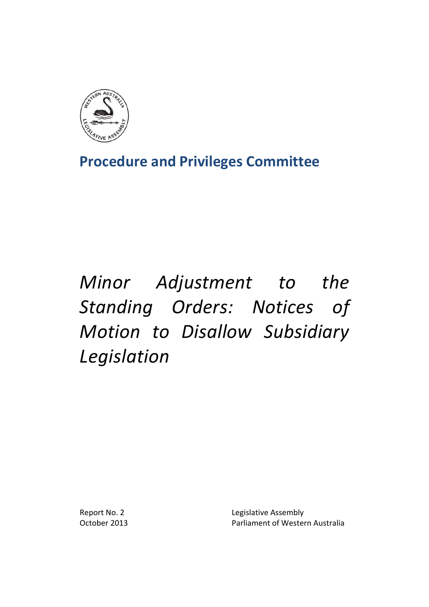

**Procedure and Privileges Committee**

# *Minor Adjustment to the Standing Orders: Notices of Motion to Disallow Subsidiary Legislation*

Report No. 2 **Legislative Assembly** October 2013 **Parliament of Western Australia**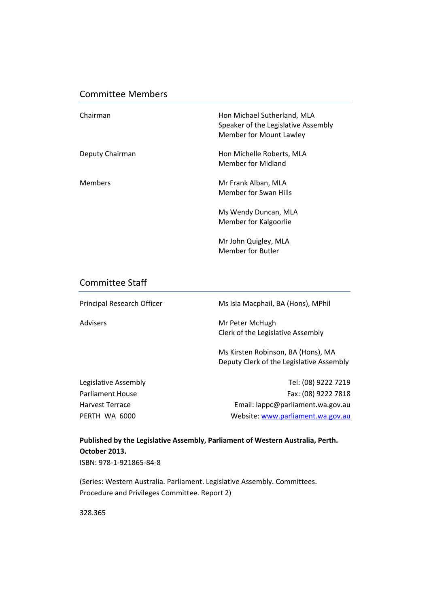### Committee Members

| Chairman        | Hon Michael Sutherland, MLA<br>Speaker of the Legislative Assembly<br>Member for Mount Lawley |
|-----------------|-----------------------------------------------------------------------------------------------|
| Deputy Chairman | Hon Michelle Roberts, MLA<br>Member for Midland                                               |
| <b>Members</b>  | Mr Frank Alban, MLA<br>Member for Swan Hills                                                  |
|                 | Ms Wendy Duncan, MLA<br>Member for Kalgoorlie                                                 |
|                 | Mr John Quigley, MLA<br><b>Member for Butler</b>                                              |

### Committee Staff

| Principal Research Officer | Ms Isla Macphail, BA (Hons), MPhil                                             |
|----------------------------|--------------------------------------------------------------------------------|
| Advisers                   | Mr Peter McHugh<br>Clerk of the Legislative Assembly                           |
|                            | Ms Kirsten Robinson, BA (Hons), MA<br>Deputy Clerk of the Legislative Assembly |
| Legislative Assembly       | Tel: (08) 9222 7219                                                            |
| Parliament House           | Fax: (08) 9222 7818                                                            |
| Harvest Terrace            | Email: lappc@parliament.wa.gov.au                                              |
| PERTH WA 6000              | Website: www.parliament.wa.gov.au                                              |

**Published by the Legislative Assembly, Parliament of Western Australia, Perth. October 2013.** ISBN: 978‐1‐921865‐84‐8

(Series: Western Australia. Parliament. Legislative Assembly. Committees. Procedure and Privileges Committee. Report 2)

328.365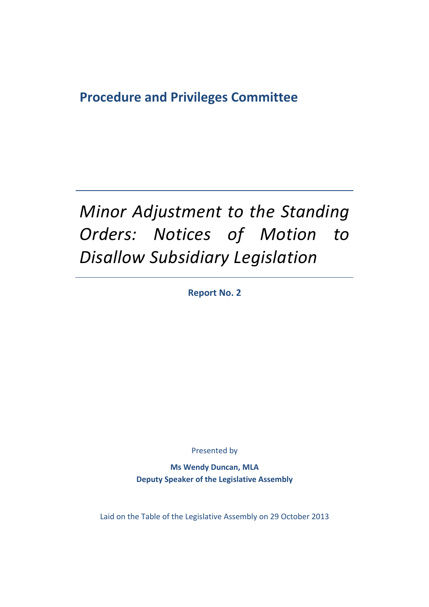## **Procedure and Privileges Committee**

# *Minor Adjustment to the Standing Orders: Notices of Motion to Disallow Subsidiary Legislation*

**Report No. 2**

Presented by

**Ms Wendy Duncan, MLA Deputy Speaker of the Legislative Assembly**

Laid on the Table of the Legislative Assembly on 29 October 2013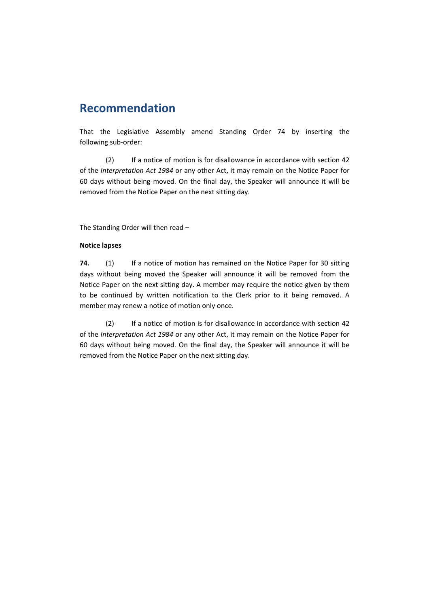## **Recommendation**

That the Legislative Assembly amend Standing Order 74 by inserting the following sub‐order:

(2) If a notice of motion is for disallowance in accordance with section 42 of the *Interpretation Act 1984* or any other Act, it may remain on the Notice Paper for 60 days without being moved. On the final day, the Speaker will announce it will be removed from the Notice Paper on the next sitting day.

The Standing Order will then read –

#### **Notice lapses**

**74.** (1) If a notice of motion has remained on the Notice Paper for 30 sitting days without being moved the Speaker will announce it will be removed from the Notice Paper on the next sitting day. A member may require the notice given by them to be continued by written notification to the Clerk prior to it being removed. A member may renew a notice of motion only once.

(2) If a notice of motion is for disallowance in accordance with section 42 of the *Interpretation Act 1984* or any other Act, it may remain on the Notice Paper for 60 days without being moved. On the final day, the Speaker will announce it will be removed from the Notice Paper on the next sitting day.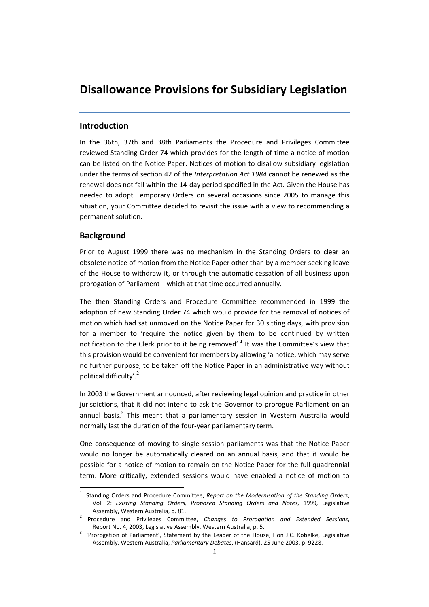## **Disallowance Provisions for Subsidiary Legislation**

#### **Introduction**

In the 36th, 37th and 38th Parliaments the Procedure and Privileges Committee reviewed Standing Order 74 which provides for the length of time a notice of motion can be listed on the Notice Paper. Notices of motion to disallow subsidiary legislation under the terms of section 42 of the *Interpretation Act 1984* cannot be renewed as the renewal does not fall within the 14‐day period specified in the Act. Given the House has needed to adopt Temporary Orders on several occasions since 2005 to manage this situation, your Committee decided to revisit the issue with a view to recommending a permanent solution.

#### **Background**

Prior to August 1999 there was no mechanism in the Standing Orders to clear an obsolete notice of motion from the Notice Paper other than by a member seeking leave of the House to withdraw it, or through the automatic cessation of all business upon prorogation of Parliament—which at that time occurred annually.

The then Standing Orders and Procedure Committee recommended in 1999 the adoption of new Standing Order 74 which would provide for the removal of notices of motion which had sat unmoved on the Notice Paper for 30 sitting days, with provision for a member to 'require the notice given by them to be continued by written notification to the Clerk prior to it being removed'.<sup>1</sup> It was the Committee's view that this provision would be convenient for members by allowing 'a notice, which may serve no further purpose, to be taken off the Notice Paper in an administrative way without political difficulty'.<sup>2</sup>

In 2003 the Government announced, after reviewing legal opinion and practice in other jurisdictions, that it did not intend to ask the Governor to prorogue Parliament on an annual basis. $3$  This meant that a parliamentary session in Western Australia would normally last the duration of the four‐year parliamentary term.

One consequence of moving to single‐session parliaments was that the Notice Paper would no longer be automatically cleared on an annual basis, and that it would be possible for a notice of motion to remain on the Notice Paper for the full quadrennial term. More critically, extended sessions would have enabled a notice of motion to

 1 Standing Orders and Procedure Committee, *Report on the Modernisation of the Standing Orders*, Vol. 2: *Existing Standing Orders, Proposed Standing Orders and Notes*, 1999, Legislative

Assembly, Western Australia, p. 81. <sup>2</sup> Procedure and Privileges Committee, *Changes to Prorogation and Extended Sessions*, Report No. 4, 2003, Legislative Assembly, Western Australia, p. 5.

<sup>&</sup>lt;sup>3</sup> 'Prorogation of Parliament', Statement by the Leader of the House, Hon J.C. Kobelke, Legislative Assembly, Western Australia, *Parliamentary Debates*, (Hansard), 25 June 2003, p. 9228.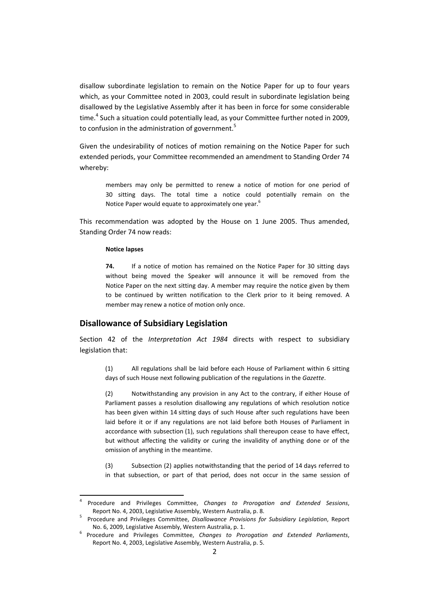disallow subordinate legislation to remain on the Notice Paper for up to four years which, as your Committee noted in 2003, could result in subordinate legislation being disallowed by the Legislative Assembly after it has been in force for some considerable time.<sup>4</sup> Such a situation could potentially lead, as your Committee further noted in 2009, to confusion in the administration of government.<sup>5</sup>

Given the undesirability of notices of motion remaining on the Notice Paper for such extended periods, your Committee recommended an amendment to Standing Order 74 whereby:

members may only be permitted to renew a notice of motion for one period of 30 sitting days. The total time a notice could potentially remain on the Notice Paper would equate to approximately one year.<sup>6</sup>

This recommendation was adopted by the House on 1 June 2005. Thus amended, Standing Order 74 now reads:

#### **Notice lapses**

**74.** If a notice of motion has remained on the Notice Paper for 30 sitting days without being moved the Speaker will announce it will be removed from the Notice Paper on the next sitting day. A member may require the notice given by them to be continued by written notification to the Clerk prior to it being removed. A member may renew a notice of motion only once.

#### **Disallowance of Subsidiary Legislation**

Section 42 of the *Interpretation Act 1984* directs with respect to subsidiary legislation that:

(1) All regulations shall be laid before each House of Parliament within 6 sitting days of such House next following publication of the regulations in the *Gazette*.

 (2) Notwithstanding any provision in any Act to the contrary, if either House of Parliament passes a resolution disallowing any regulations of which resolution notice has been given within 14 sitting days of such House after such regulations have been laid before it or if any regulations are not laid before both Houses of Parliament in accordance with subsection (1), such regulations shall thereupon cease to have effect, but without affecting the validity or curing the invalidity of anything done or of the omission of anything in the meantime.

 (3) Subsection (2) applies notwithstanding that the period of 14 days referred to in that subsection, or part of that period, does not occur in the same session of

<sup>4</sup> Procedure and Privileges Committee, *Changes to Prorogation and Extended Sessions*, Report No. 4, 2003, Legislative Assembly, Western Australia, p. 8.

 Procedure and Privileges Committee, *Disallowance Provisions for Subsidiary Legislation*, Report No. 6, 2009, Legislative Assembly, Western Australia, p. 1. <sup>6</sup> Procedure and Privileges Committee, *Changes to Prorogation and Extended Parliaments*,

Report No. 4, 2003, Legislative Assembly, Western Australia, p. 5.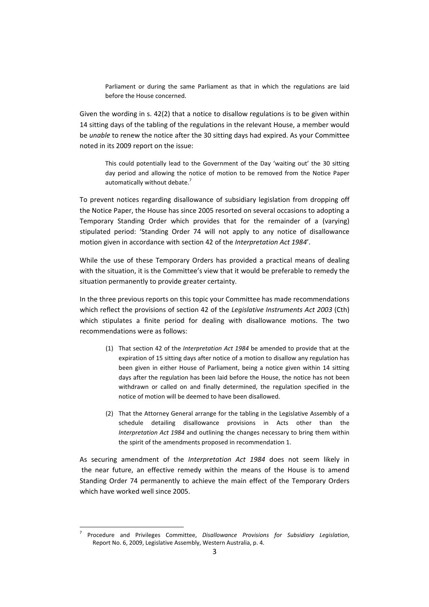Parliament or during the same Parliament as that in which the regulations are laid before the House concerned.

Given the wording in s. 42(2) that a notice to disallow regulations is to be given within 14 sitting days of the tabling of the regulations in the relevant House, a member would be *unable* to renew the notice after the 30 sitting days had expired. As your Committee noted in its 2009 report on the issue:

This could potentially lead to the Government of the Day 'waiting out' the 30 sitting day period and allowing the notice of motion to be removed from the Notice Paper automatically without debate.<sup>7</sup>

To prevent notices regarding disallowance of subsidiary legislation from dropping off the Notice Paper, the House has since 2005 resorted on several occasions to adopting a Temporary Standing Order which provides that for the remainder of a (varying) stipulated period: 'Standing Order 74 will not apply to any notice of disallowance motion given in accordance with section 42 of the *Interpretation Act 1984*'.

While the use of these Temporary Orders has provided a practical means of dealing with the situation, it is the Committee's view that it would be preferable to remedy the situation permanently to provide greater certainty.

In the three previous reports on this topic your Committee has made recommendations which reflect the provisions of section 42 of the *Legislative Instruments Act 2003* (Cth) which stipulates a finite period for dealing with disallowance motions. The two recommendations were as follows:

- (1) That section 42 of the *Interpretation Act 1984* be amended to provide that at the expiration of 15 sitting days after notice of a motion to disallow any regulation has been given in either House of Parliament, being a notice given within 14 sitting days after the regulation has been laid before the House, the notice has not been withdrawn or called on and finally determined, the regulation specified in the notice of motion will be deemed to have been disallowed.
- (2) That the Attorney General arrange for the tabling in the Legislative Assembly of a schedule detailing disallowance provisions in Acts other than the *Interpretation Act 1984* and outlining the changes necessary to bring them within the spirit of the amendments proposed in recommendation 1.

As securing amendment of the *Interpretation Act 1984* does not seem likely in the near future, an effective remedy within the means of the House is to amend Standing Order 74 permanently to achieve the main effect of the Temporary Orders which have worked well since 2005.

<sup>7</sup> Procedure and Privileges Committee, *Disallowance Provisions for Subsidiary Legislation*, Report No. 6, 2009, Legislative Assembly, Western Australia, p. 4.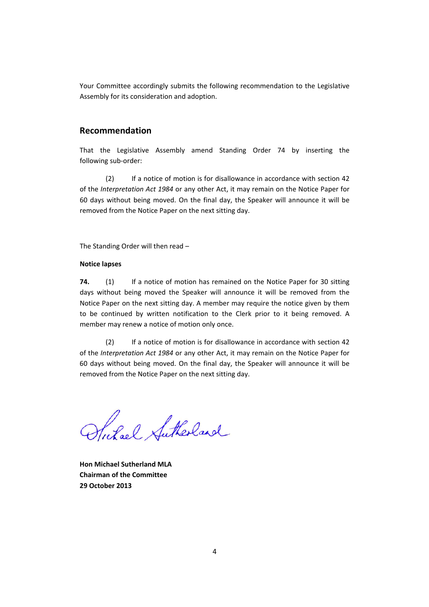Your Committee accordingly submits the following recommendation to the Legislative Assembly for its consideration and adoption.

#### **Recommendation**

That the Legislative Assembly amend Standing Order 74 by inserting the following sub‐order:

(2) If a notice of motion is for disallowance in accordance with section 42 of the *Interpretation Act 1984* or any other Act, it may remain on the Notice Paper for 60 days without being moved. On the final day, the Speaker will announce it will be removed from the Notice Paper on the next sitting day.

The Standing Order will then read –

#### **Notice lapses**

**74.** (1) If a notice of motion has remained on the Notice Paper for 30 sitting days without being moved the Speaker will announce it will be removed from the Notice Paper on the next sitting day. A member may require the notice given by them to be continued by written notification to the Clerk prior to it being removed. A member may renew a notice of motion only once.

(2) If a notice of motion is for disallowance in accordance with section 42 of the *Interpretation Act 1984* or any other Act, it may remain on the Notice Paper for 60 days without being moved. On the final day, the Speaker will announce it will be removed from the Notice Paper on the next sitting day.

Stutel Sutherland

**Hon Michael Sutherland MLA Chairman of the Committee 29 October 2013**